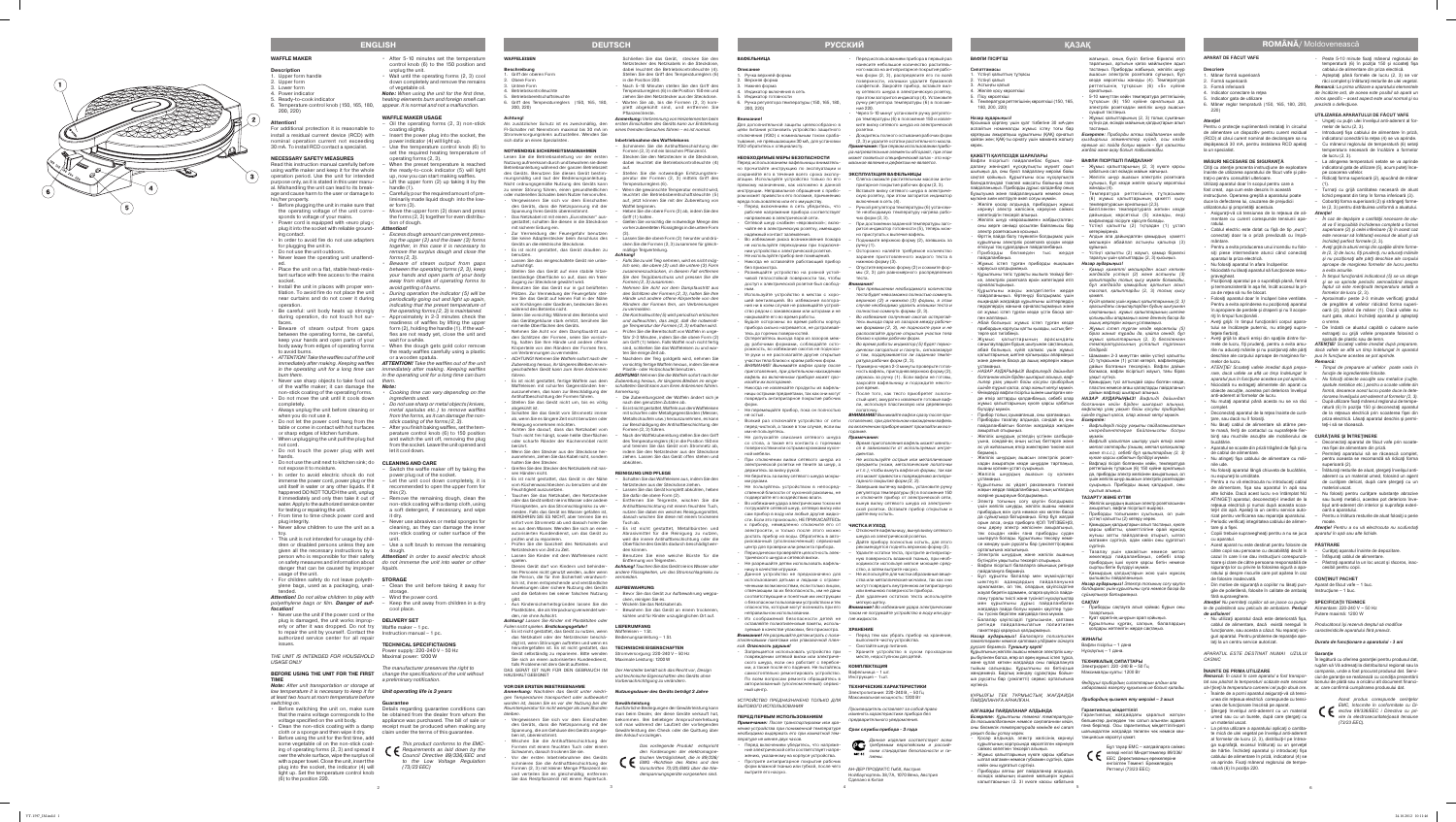#### **APARAT DE FĂCUT VAFE**

#### **Descriere**

- . Mâner formă superioară
- 2. Formă superioară
- 3. Formă inferioară
- . Indicator conectare la retea Indicator gata de utilizare
- 6. Mâner reglor tempratură (150, 165, 180, 200, 220)

### **Atenţie!**

Pentru o protecție suplimentară instalați în circuitul de alimentare un dispozitiv pentru curent rezidual (RCD) al cărui curent nominal de declanşare sa nu depăşească 30 mA, pentru instalarea RCD apelaţi la un specialist.

Cititi cu atentie prezenta instructiune de exploatare înainte de utilizarea aparatului de făcut vafe şi păs trați-o pentru consultări ulterioare. Utilizaţi aparatul doar în scopul pentru care a

#### **MĂSURI NECESARE DE SIGURANŢĂ**

fost creat, aşa cum este descris în această instructiune. Operarea greșită a aparatului poate duce la defectarea lui, cauzarea de prejudicii utilizatorului şi proprietăţii acestuia.

Nu utilizați aparatul dacă este deteriorată fișa, cablul de alimentare, dacă există nereguli în *Producătorul îşi rezervă dreptul să modifice*  funcţionare, sau acesta a căzut. Nu reparaţi sin - *caracteristicile aparatului fără preaviz.* guri aparatul. Pentru probleme de reparaţie ape laţi la un centru service autorizat.

*Remarcă: În cazul în care aparatul a fost transpor-*ciul de garanţie se realizează cu condiţia prezentării *tat sau păstrat la temperaturi scăzute este necesar* bonului de plată sau a oricărui alt document financi*să-l ţineţi la temperatura camerei cel puţin două ore.* ar, care confirmă cumpărarea produsului dat. • Înainte de a porni aparatul asigurați-vă că tensi-

- unea din reţeaua electrică corespunde cu tensi unea de functionare înscrisă pe aparat. Stergeti învelisul anti-aderent cu un material
- umed sau cu un burete, după care ştergeţi cu un material uscat. • La prima utilizare a aparatului aplicați o cantita-
- te mică de ulei vegetal pe învelișul anti-aderen al formelor de lucru (2, 3), distribuiţi-l pe întrea ga suprafață, excesul înlăturați cu un șervețe de hârtie. Închideţi aparatul şi introduceţi fişa cablului de alimentare în priză, indicatorul (4) se va aprinde. Fixaţi mânerul reglorului de tempe ratură (6) în poziția 220.
- • Asiguraţi *-*vă că tensiunea de la reţeaua de ali mentare cu curent corespunde tensiunii apa ratului.
- Cablul electric este dotat cu fișă de tip "euro" conectaţi doar la o priză prevăzută cu împă mântare.
- Pentru a evita producerea unui incendiu nu folosiţi piese intermediare atunci când conectaţi aparatul la priza electrică.
- Nu folosiți aparatul în afara încăperilor.
- • Niciodată nu lăsaţi aparatul să funcţioneze nesu -
- praveghea Poziţionaţi aparatul pe o suprafaţă plană, fermă şi termorezistentă în aşa fel, încât accesul la pri za de retea să nu fie blocat.
- Folositi aparatul doar în încăperi bine ventilate. Pentru a evita aprinderea nu pozitionati aparatul în apropiere de perdele şi draperii şi nu îl acope riţi în timpul funcţionării.
- • Aveţi grijă: în timpul funcţionării corpul apara tului se încălzeşte puternic, nu atingeţi supra fetele fierbinți
- • Aveţi grijă la aburii emişi din spaţiile dintre for deschise ale corpului aproape de marginea for - *pus în funcţiune acestea se pot aprinde.* melor de lucru.
- • *ATENŢIE! Scoateţi vafele imediat după prepa rare, dacă vafele se află un timp îndelungat în aparatul pus în funcţiune acestea se pot aprinde.*
- Niciodată nu extrageți alimentele din aparat cu obiecte ascuţite, acestea pot deteriora învelişul anti-aderent al formelor de lucru.
- Nu mutați aparatul până acesta nu se va răci complet.
- • Deconectaţi aparatul de la reţea înainte de cură tare, sau dacă nu îl folositi.
- • Nu lăsaţi cablul de alimentare să atârne pes te masă, feriți de contactul cu suprafețele fie binţi sau muchiile ascuţite ale mobilierului de bucătărie.
- Aparatul se scoate din priză trăgând de fișă și nu le cablul de alimentar
- Nu atingeți fișa cablului de alimentare cu mâinile ude. Nu folosiți aparatul lângă chiuveta de bucătărie,
- nu expuneti la umiditate. Pentru a nu vă electrocuta nu introduceti cablul
- de alimentare, fişa sau aparatul în apă sau alte lichide. Dacă acest lucru s-a întâmplat NU ATINGEŢI aparatul, deconectaţi-l imediat de la reţeaua electrică şi numai după aceasta scoa teţi-l din apă. Apelaţi la un centru service auto rizat pentru verificarea sau reparaţia aparatului. • Periodic verificați integritatea cablului de alimen-
- tare şi a fişei. • Copiii trebuie supravegheaţi pentru a nu se juca *aparatul în apă sau alte lichide.*
- cu aparatul. • Acest aparat nu este destinat pentru folosire de **PĂSTRARE**
- către copii sau persoane cu dezabilităţi decât în cazul în care li se dau instrucţiuni corespunză toare şi clare de către persoana responsabilă de siguranţa lor cu privire la folosirea sigură a apa ratului și despre riscurile care pot apărea în ca de folosire inadecvată.
- • Din motive de siguranţă a copiilor nu lăsaţi pun Aparat de făcut vafe 1 buc. gile de polietilenă, folosite în calitate de ambalaj fără supraveghere.
- Peste 5-10 minute fixați mânerul reglorului de temperatură (6) în poziţia 150 şi scoateţi fişa cablului de alimentare din priza electrică.
- Asteptati până formele de lucru (2, 3) se voi răci complet și înlăturați resturile de ulei vegetal *Remarcă: La prima utilizare a aparatului elementele*

- Ungeți cu puțin ulei învelișul anti-aderent al formelor de lucru (2, 3).
- Introduceti fisa cablului de alimentare în priză indicatorul conectării la retea (4) se va aprinde. – Cu mânerul reglorului de temperatură (6) setaţi temperatura necesară de încălzire a formelor
- de lucru (2, 3). La atingerea temperaturii setate se va aprinde indicatorul gata de utilizare (5), acum puteţi înce pe coacerea vafelor.
- Ridicați forma superioară (2), apucând de mâner (1).
- Turnați cu grijă cantitatea necesară de aluat lichid preparat din timp în forma inferioară (3).
- – Coborâţi forma superioară (2) şi strângeţi forme le (2, 3) pentru distribuirea uniformă a aluatului.
- *Atenţie!*
- • *În caz de depăşire a cantităţii necesare de alu at va fi imposibilă închiderea completă a formei superioare (2) şi celei inferioare (3) în acest caz este necesar să înlăturaţi excesul de aluat şi să închideţi perfect formele* (2, 3) *.*
- • *Aveţi grijă la aburii emişi din spaţiile dintre forme le (2, 3) de lucru, fiţi prudenţi, nu aduceţi mâinile şi nu poziţionaţi alte părţi deschise ale corpului aproape de marginea formelor de lucru pentru a evita arsurile.*
- • *În timpul funcţionării indicatorul (5) se va stinge şi se va aprinde periodic semnalizând despre faptul că este menţinută temperatura setată a formelor de lucru* (2, 3) *.*
- Aproximativ peste 2-3 minute verificați gradu de pregătire al vafelor ridicând forma superi oară (2), tinând de mâner (1). Dacă vafele nu sunt gata, atunci închideți aparatul și așteptat o vreme.
- De îndată ce aluatul capătă o culoare aurie extrageţi cu grijă vafele preparate folosind o spatulă de plastic sau de lemn.

- *Remarcă: Timpul de preparare al vafelor poate varia în*
- *funcţie de ingredientele folosite.*  Nu folositi obiecte ascutite sau metalice (cutite, *spatule metalice etc.) pentru a scoate vafele din formă, deoarece acest lucru poate duce la dete -*
- *riorarea învelişului ant-aderent al formelor (2, 3).* - După utilizare fixați mânerul reglorului de temperatură (6) în poziția 150 și deconectați aparatu de la reţeaua electrică prin scoaterea fişei din priza electrică. Lăsaţi aparatul deschis şi permi teti-i să se răcească.

*Atenţie! Nu permiteţi copiilor să se joace cu pungi -* **SPECIFICAŢII TEHNICE** *le de polietilenă sau pelicula de ambalare. Pericol*  Alimentare: 220-240 V ~ 50 Hz *de asfixiere!*

*APARATUL ESTE DESTINAT NUMAI UZULUI*  **Garanţie** *CASNIC*

#### **ÎNAINTE DE PRIMA UTILIZARE**

- Deconectați aparatul de făcut vafe prin scoaterea fişei de alimentare din priză.
- Permiteți aparatului să se răcească comple pentru aceasta se recomandă să ridicaţi forma superioară (2).
- Înlăturați resturile de aluat, stergeți învelisul antiaderent cu un material umed, folosind un agent de curăţare delicat, după care ştergeţi cu un material uscat.
- Nu folosiți pentru curățare substanțe abrazive sau bureţi metalici, acestea pot deteriora înve lişul anti-aderent din interior şi suprafaţa exteri oară a aparatului.
- Pentru a înlătura resturile de aluat folosiți o perie moale.
- *Atenţie! Pentru a nu vă electrocuta nu scufundaţi*

- Curățați aparatul înainte de depozitare.
- nfăşurați cablul de alimentare Păstrați aparatul la un loc uscat și răcoros, inad cesibil pentru copii.

mele de lucru, fiţi prudenţi, pentru a evita arsu - *ATENŢIE! Scoateţi vafele imediat după preparare,*  rile nu aduceţi mâinile şi nu poziţionaţi alte părţi *dacă vafele se află un timp îndelungat în aparatul* 

> În legătură cu oferirea garanției pentru produsul dat, rugăm să Vă adresați la distribuitorul regional sau la compania, unde a fost procurat produsul dat. Servi -



180, 200, 220) Назар аударыңы

> « Желілік шнур «евроашамен» жабдықталға оны жерге сенімді қосылған байланысы бар

Эрттің пайда болу тәуекелін болдырмас үшін құрылғыны электрлік розеткаға қосқан кезде өткізуші тоқ құралдарын пайдаланбаңыз. Приборды бөлмеден тыс жерде

Жұмыс істеп тұрған приборды ешқаша<mark>н</mark>

*de încălzire ard, de aceea este posibil să apară un miros specific – acest aspect este unul normal şi nu prezintă o defecţiune.*

#### **UTILIZAREA APARATULUI DE FĂCUT VAFE**

Курылғыны жақсы желдетілетін жерде пайдаланыңыз. Өртенуді болдырмас үшін ешқандай жағдайда құрылғыны шілтерлердің терделердің жанына орналастырмаңыз және ол жұмыс істеп тұрған кезде үстін басқа зат -

Абай болыңыз: жұмыс істеп тұрған кезде прибордың корпусы қатты қызады, ыстық бет -

Жұмыс қалыптарының арасындағы .<br>паулардан будың шығуынан сақтаныңыз, абай болыңыз, күйіп қалмас үшін жұмыс қалыптарының шетіне қолыңызды апармаңыз және дененің басқа да ашық жерлерін жақын

• *НАЗАР АУДАРЫҢЫЗ! Вафлилерді дайындап болғаннан кейін бірден шығарып алыңыз, ваф лилер ұзақ уақыт бойы қосулы прибордың ішінде тұрып қалса, олар жанып кетуі мүмкін.* Өнімдерді вафли пісіргіш ішінен шығарған кез

де өткір заттарды қолданбаңыз, себебі олар кұмыс қалыптарының күюге қарсы қабаты

Прибор толық суымағанша, оны қозғамаңыз. Триборды тазалау алдында, сондай ақ оны пайдаланбайтын болған жағдайда желіден

Желілік шнурдың үстелдің үстінен салбыра

Желілік шнурдың ашасын электрлік розет

Құрылғыны ас үйдегі раковинаға тікелеі жақын жерде пайдаланбаңыз, оның ылғалдың

Бұл құрылғы балалар мен мүмкіндіктері шектеулі адамдардың пайдалануына арналмаған, ол тек, олардың қауіпсіздігіне жауап беретін адаммен, оларға қауіпсіз пайда лану туралы тиісті және түсінікті нұсқаулықтар

Қосар алдында, электр желісінің кернеуі құрылғының корпусында көрсетілген кернеуге .<br>эйкес келетінін тексеріп алыңыз. Жұмыс қалыптарының күюге қарсы қабатын ылғал матамен немесе губкамен сүртіңіз, одан

Приборды алғаш рет пайдаланар алдында өсімдік майының кішкене мөлшерін жұмыс қалыптарының (2, 3) күюге қарсы қабатына

.<br>5-10 минуттан кейін температура реттегішінің тұтқасын (6) 150 күйіне орнатыңыз да, электрлік розеткадан желілік шнур ашасын

жұмыс қалыптарының (2, 3) толық суығанын күтіңіз де, өсімдік майының қалдықтарын алып

– Алдын ала дайындалған камырдың кажетт мөлшерін абайлап астыңғы қалыпқа (3)

Үстіңгі қалыпты (2) жауып, қамыр біркелкі таралуы үшін қалыптарды (2, 3) қысыңыз.

#### **CURĂŢARE ŞI ÎNTREŢINERE**

Шамамен 2-3 минуттан кейін үстіңгі қалыпты (2) тұтқасынан (1) ұстап көтеріп, вафлилердің дайын болғанын тексеріңіз. Вафли дайын болмаса, вафли пісіргішті жауып, тағы біраз

Қамырдың түсі алтындай сары болған кезде, ластик немесе ағаш қалақтарды пайдаланы<mark>г</mark>

суытып алыны **ТАЗАРТУ ЖӘНЕ КҮТІМ**

**CONŢINUT PACHET**

#### Instrucţiune – 1 buc.

рдың қалдықтарын алып тастаңыз, күюге қарсы қабатты, қажеттілігіне орай жұмсақ жуғыш затты пайлдалана отырып, ылғал матамен сүртіңіз, одан кейін оны құрғатып

Putere maximă: 1200 W

азалау үшін қажайтын немесе метал жөкелерді пайдаланбаңыз, себебі олар прибордың ішкі күюге қарсы бетін немесе

Қамырдың қалдықтарын жою үшін жұмса

Приборды сақтауға алып қоймас бұрын оны

#### *Durata de funcţionare a aparatului - 3 ani*

*Acest produs corespunde cerinţelor EMC, întocmite în conformitate cu Di rectiva 89/336/EEC i Directiva cu pri vire la electrosecuritate/joasă tensiune (73/23 EEC).*

**ВАФЛИ ПІСІРГІШ Сипаттамасы**

> Үстіңгі қалып 3. Астыңғы қалып 4. Желіге қосу көрсеткіші Пісу көрсеткіші

Қосымша қорғану үшін қуат тізбегіне 30 мА-ден аспайтын номиналды жұмыс істеу тоғы бар қорғаушы ажыратқыш құрылғыны (ҚАҚ) орнатып қойған жөн; ҚАҚ-ты орнату үшін маманға жолығу

керек **.**

**ҚАЖЕТТІ ҚАУІПСІЗДІК ШАРАЛАРЫ**

Вафли пісіргішті пайдаланбас бұрын, пай далану жөніндегі нұсқаулықты мұқият оқып шығыңыз да, оны бүкіл пайдалану мерзімі бойы сақтап қойыңыз. Құрылғыны осы нұсқаулықта баяндалғандай тікелей мақсаты бойынша ғана пайдаланыңыз. Приборды дұрыс қолданбау оның бұзылуына және пайдаланушыға немесе оның мүлкіне зиян келтіруге әкеп соғуы мүмкін. Желіге қосар алдында, прибордың жұмы кернеуі электр желісінің кереуіне сәйкес

келетіндігін тексеріп алыңыз.

электр розеткасына қосыңыз.

пайдаланбаңыз.

рналастырыңыз

қараусыз қалдырмаңыз.

-

ке, электрлік розеткаға еркін жететіндей етіп

пен жаппаңыз.

терге қол тигізбеңіз.

ұстамаңыз.

-

бүлдіруі мүмкін.

ажыратып отырыңыз.

-

уына, сондай-ақ оның ыстық беттерге және ас үй жиһазының өткір жиектеріне тиюіне жол

• Через 5-10 минут установите ручку регулятора температуры (6) в положение 150 и извле ките вилку сетевого шнура из электрической розетки.

бермеңіз.

-

кадан ажыратқан кезде шнурдан тартпаңыз,

Желілік шнурдың ашасын су қолмен

ашаны қолмен ұстап суырыңыз.

.<br>Дождитесь полного остывания рабочих форм (2, 3) и удалите остатки растительного масла. **Примечание:** При первом использовании прибо ра нагревательные элементы обгорают, при этом может появиться специфический запах - это нор мальное явление и дефектом не является.

ұстамаңыз.

әсеріне ұшырауын болдырмаңыз.

• Электр тоғының соғу қаупін болдырмас үшін желілік шнурды, желілік ашаны немесе прибордың өзін суға немесе кез келген басқа да сұйықтыққа батырмаңыз. Егер бұл жағдай орын алса, онда приборға ҚОЛ ТИГІЗБЕҢІЗ, ны дереу электр желісінен ажыратыңыз тек осыдан кейін ғана приборды судан шығаруға болады. Құрылғыны тексеру неме

се жөндеу үшін рұқсаты бар (уәкілетті)серви

**Электрлік шнурдың және желілік ашаның** бүтіндігін уақытылы тексеріп отырыңыз. .<br>Вафли пісіргішті балаларға ойыншық ретінде

- Слегка смажьте растительным маслом антиигарное покрытие рабочих форм (2, 3). – Вставьте вилку сетевого шнура в электриче скую розетку, при этом загорится индикатор включения в сеть (4).
- Ручкой регулятора температуры (6) установите необходимую температуру нагрева рабо чих форм (2, 3).
- При достижении заданной температуры загорится индикатор готовности (5), теперь мож но приступать к выпечке вафель.
- мите верхнюю форму (2), взявшись за ручку (1). Осторожно налейте требуемое количество
- заранее приготовленного жидкого теста в нижнюю форму (3).
- – Опустите верхнюю форму (2) и сожмите фор мы (2, 3) для равномерного распределения теста.

-

орталығына жолығыңыз.

айдалануға бермеңіз

- При превышении необходимого количества теста будет невозможно полностью сомкнуть верхнюю (2) и нижнюю (3) формы, в этом случае необходимо удалить излишки теста и полностью сомкнуть формы (2, 3) .
- Во избежание получения ожогов остерегайтесь выхода пара из зазоров между рабочи ми формами (2, 3), не подносите руки и не .<br>Сполагайте другие открытые участки тела близко к краям рабочих форм.
- Во время работы индикатор (5) будет периодически загораться и гаснуть, сигнализируя о том, поддерживается ли заданная темпе ратура рабочих форм (2, 3) .
- рно через 2-3 минуты проверьте готов ность вафель, приподняв верхнюю форму (2), держась за ручку (1). Если вафли не готовы, закройте вафельницу и подождите некото рое время.
- После того, как тесто приобретет золотистый цвет, аккуратно извлеките готовые ваф ли, используя пластиковую или деревяннук лопаточку.

• Всякий раз отключайте устройство от сети готовления, при длительном нахождении вафель перед чисткой, а также в том случае, если вы во включенном приборе может произойти их воз-**ВНИМАНИЕ!** Вынимайте вафли сразу после при горание.

> жағдайда пайда болуы мүмкін қауіптер тура лы түсінік берілген жағдайда ғана мүмкін. Балалар қауіпсіздігі тұрғысынан, қаптама ретінде пайдаланылатын полиэтилен пакеттерді қараусыз қалдырмаңыз. *Назар аударыңыз! Балаларға полиэтилен пакеттермен немесе қаптама үлдірмен ойнауға*

*рұқсат бермеңіз. Тұншығу қаупі!*

Құрылғының желілік ашасы немесе электрлік шну ры бүлінген болса, егер ол әрең жұмыс істеп тұрса, және құлап кеткен жағдайда оны пайдалануға тыйым салынады. Құрылғыны өз бетіңізше жөндемеңіз. Барлық жөндеу сұрақтары бойын ша рұқсаты бар (уәкілетті) сервис орталығына

выполните чистку устройства. Смотайте шнур питания

жүгініңіз.

*ҚҰРЫЛҒЫ ТЕК ТҰРМЫСТЫҚ ЖАҒДАЙДА* 

*ПАЙДАЛАНУҒА АРНАЛҒАН.*

**АЛҒАШҚЫ ПАЙДАЛАНАР АЛДЫНДА** *Ескертпе: Құрылғыны төменгі температура -*

*уақыт бойы ұстау керек.*

ейін оны құрғатып сүртіңіз.

жағыңыз, оның бүкіл бетіне біркелкі етіп таратыңыз, артығын қағаз майлықпен адып тастаңыз. Приборды жабыңыз, желілік шнур ашасын электрлік розеткаға сұғыңыз, бұл кезде көрсеткіш жанады (4). Температура реттегішінің тұтқасын (6) «5» күйіне

орнатыңыз.

суырып тастаңыз.

тастаңыз.

*Ескертпе: Приборды алғаш пайдаланған кезде қыздырғыш элементтер күйед, осы кезде ерекше иіс пайда болуы мүмкін - бұл қалыпты жағдай және ақау болып табылмайды.* **ВАФЛИ ПІСІРГІШТІ ПАЙДАЛАНУ**

Жұмыс қалыптарының (2, 3) күюге қарсы қабатына сәл өсімдік майын жағыңыз. Желілік шнур ашасын электрлік розеткаға тыңыз, бұл кезде желіге қосылу көрсеткіш

.<br>Температура реттегішінің тұтқасымен (6) жұмыс қалыптарының қажетті қызу тературасын орнатыңыз (2,3). Белгіленген температураға жеткен кезде дайындық көрсеткіші (5) жанады, енді вафлилерді пісіруге кірісуге болады. Үстіңгі қалыпты (2) тқтқадан (1) ұстаг

жанады (4).

- Vergewissern Sie sich vor dem Einschalter des Geräts, dass die Netzspannung mit der Spannung Ihres Geräts übereinstimmt. Das Netzkabel ist mit einem "Eurostecker" aus
- gestattet; schalten Sie diesen in die Steckdose mit sicherer Erdung ein. Zur Vermeidung der Feuergefahr benutzen Sie keine Adapterstecker beim Anschluss des
- eräts an die elektrische Steckdose Es ist nicht gestattet, das Gerät draußen zu benutzen.
- · Lassen Sie das eingeschaltete Gerät nie unbeaufsichtigt. • Falls Sie zu viel Teig nehmen, wird es nicht mög -
- · Stellen Sie das Gerät auf eine stabile hitzebeständige Oberfläche so auf, dass ein freier Zugang zur Steckdose gewährt wird. Benutzen Sie das Gerät nur in gut belüfteter Plätzen. Zur Vermeidung der Feuergefahr stel len Sie das Gerät auf keinen Fall in der Nähe von Vorhängen oder Gardinen, bedecken Sie es während des Betriebs nicht. eien Sie vorsichtig: Während des Betriebs wird menzudrücken, in diesem Fall entfernen Sie den Teigüberschuss und pressen Sie die Formen (2, 3) zusammen. en Sie Acht vor dem Dampfaustritt aus den Schlitzen der Formen (2, 3), halten Sie Ihre Hände und andere offene Körperteile von den Rändern der Formen fern, um Verbrennungen zu vermeiden. Die Kontrolleuchte (5) wird periodisch erlöschei
- das Gerätegehäuse stark erhitzt, berühren Sie nie heiße Oberflächen des Geräts.
- Nehmen Sie Acht vor dem Dampfaustritt aus den Schlitzen der Formen, seien Sie vorsich - .<br><sub>3</sub>, halten Sie Ihre Hände und andere offene Körperteile von den Rändern der Formen fern um Verbrennungen zu vermeiden.
- • ACHTUNG! Nehmen Sie Waffeln sofort nach der Zubereitung heraus, ihr längeres Bleiben im ein geschalteten Gerät kann zum ihren Anbrennen führen.
- Waffeleisen mit scharfen Gegenständen her auszunehmen, das kann zur Beschädigung der Antihaftbeschichtung der Formen führen. Stellen Sie das Gerät nicht um, bis es völlig abgekühlt ist.
- Schalten Sie das Gerät vom Stromnetz immer ab, wenn Sie es längere Zeit nicht benutzen oder Reinigung vornehmen möchten.
- 1ten Sie darauf, dass das Netzkabel vom Tisch nicht frei hängt, sowie heiße Oberflächen oder scharfe Ränder der Küchenmöbel nicht berührt.
- Wenn Sie den Stecker aus der Steckdose her ausnehmen, ziehen Sie das Kabel nicht, sondern halten Sie den Stecker.
- Greifen Sie den Stecker des Netzkabels mit nas
- en Händen nicht. Es ist nicht gestattet, das Gerät in der Nähe vom Küchenwaschbecken zu benutzen und der Feuchtigkeit auszusetzen.

көтеріңкіреңіз.

мен құрылғыны дұрыс пайдаланбаған **САҚТАУ**

құйыңыз.

*Назар аударыңыз!*

• *Қамыр қажетті мөлшерден асып кеткен жағдайда үстіңгі (2) және астыңғы (3) қалыптарды толық қысу мүмкін болмайды,*  ,<br>*бұл жағдайда қамырдың артығын алы тастап, қалыптарды* (2, 3) *толық қысу* 

· Dieses Gerät darf von Kindern und behinder- **Achtung!** Tauchen Sie das Gerät nie ins Wasser oder ten Personen nicht genutzt werden, außer wenn andere Flüssigkeiten, um das Stromschlagrisiko zu die Person, die für ihre Sicherheit verantwort- vermeiden. lich ist, ihnen entsprechende und verständliche

*қажет.*

• *Күйіп қалмас үшін жұмыс қалыптарының (2, 3) арасындағы саңылаулардан будың шығуынан сақтаныңыз, жұмыс қалыптарының шетіне қолыңызды апармаңыз және дененің басқа да ашық жерлерін жақын ұстамаңыз.*  • *Жұмыс істеп тұрған кезде көрсеткіш (5) біраз жанып тұрады да, қайта сөнеді, бұл жұмыс қалыптарының* (2, 3) *белгіленген температурасының ұсталып тұрғанын* 

*да тасымалдағаннан немесе сақтағаннан кейін,*  бөлшектер дилерден тек сатып алынған адамға *оны бөлмелік температурада кемінде екі сағат*  ғана берiледi. Осы гарантиялық мiндеттiлiгiндегi

*білдіреді.*

### Wischen Sie die Antihaftbeschichtung der Formen mit einem feuchten Tuch oder einem

уақыт күтіңіз.

Vor der ersten Inbetriebnahme des Geräts schmieren Sie die Antihaftbeschichtung der Formen (2, 3) mit kleiner Menge Pflanzenöl ein und verteilen Sie es gleichmäßig; entfernen

дайын вафлиді шығарып алыңыз. *НАЗАР АУДАРЫҢЫЗ! Вафлиді дайындап болғаннан кейін бірден шығарып алыңыз, вафлилер ұзақ уақыт бойы қосулы прибордың ішінде тұрып қалса, олар жанып кетуі мүмкін.*

*Ескертпе:*

Nach 5-10 Minuten stellen Sie den Griff des Temperaturreglers (6) in die Position 150 ein und ziehen Sie den Netzstecker aus der Steckdose. Warten Sie ab, bis die Formen (2, 3) kom -

> • *Вафлидерді пісіру уақыты пайдаланылатын ингредиенттерге байланысты болуы*

*мүмкін.* 

• *Вафлиді қалыптан шығару үшін өткір және метал заттарды (пышақ, метал қалақшалар және т.с.с.), себебі бұл қалыптардың (2, 3) күюге қарсы қабатын бүлдіруі мүмкін.* зафлиді пісіріп болғаннан кейін, температура эттегішінің тұтқасын (6) 150 күйіне орнатыңыз да, приборды электр желісінен ажыратыңыз, ол үшін желілік шнур ашасын электрлік розеткадан суырыңыз. Приборды ашық қалдырып, оны

Желілік шнурдың ашасын электр розеткасынан ажыратып, вафли пісіргішті өшіріңіз. – Приборды толығымен суытыныз, ол үшін

- Schmieren Sie die Antihaftbeschichtung der Formen (2, 3) mit ein bisschen Pflanzenö Stecken Sie den Netzstecker in die Steckdose,
- dabei leuchtet die Betriebskontrolleuchte (4) auf. Stellen Sie die notwendige Erhitzungst peratur der Formen (2, 3) mittels Griff des
- Temperaturreglers (6). – Wenn die gewünschte Temperatur erreicht wird, leuchtet die Betriebsbereitschaftsleuchte (5) auf, jetzt können Sie mit der Zubereitung von
- Waffel beginnen. Heben Sie die obere Form (2) ab, indem Sie den Griff (1) halten. Gießen Sie vorsichtig die notwendige Menge des
- vorher zubereiteten Flüssigteigs in die untere Form (3).
- Lassen Sie die obere Form (2) herunter und drücken Sie die Formen (2, 3) zusammen für gleich mäßige Teigverteilung. **Achtung!**

үстіңгі қалыпты (2) көтеру керек.

ртқы бетін бүлдіруі мүмкін

сүртіңіз.

қылшақты пайдаланыңыз.

#### • Es ist nicht gestattet, fertige Waffeln aus dem Zubereitung heraus, ihr längeres Bleiben im eingeen Gerät kann zum ihren Anbrennen führen. Anmerkung:

*Назар аударыңыз! Электр тоғының соғу қаупін болдырмас үшін құрылғыны суға немесе басқа да* 

*сұйықтыққа батырмаңыз.*

тазартыңыз.

– Қуат қорегінің шнурын орап қойыңыз. Құрылғыны құрғақ, салқын, балалардың қолдары жетпейтін жерде сақтаңыз.

- Die Zubereitungszeit der Waffeln ändert sich je nach den genutzten Zutaten ab. Es ist nicht gestattet, Waffeln aus dem Waffeleisen mit scharfen oder Metallgegenständen (Messer,
- Metallschaufeln usw.) herauszunehmen, es kann zur Beschädigung der Antihaftbeschichtung der en (2, 3) führen. Nach der Waffelzubereitung stellen Sie den Griff des Temperaturreglers (6) in die Position 150 ein und trennen Sie das Gerät vom Stromnetz ab,
- indem Sie den Netzstecker aus der Steckdose ziehen. Lassen Sie das Gerät offen stehen und abkühlen.

**ЖИНАҒЫ**

Вафли пісіргіш – 1 дана Нұсқаулық – 1 дана.

**ТЕХНИКАЛЫҚ СИПАТТАРЫ** Электрқорегі: 220 -240 В ~ 50 Гц Максималды қуаты: 1200 Вт

*Өндіруші прибордың сипаттарын алдын ала хабарламай өзгерту құқығына ие болып қалады. Прибордың қызмет ету мерзімі – 3 жыл*

**Гарантиялық мiндеттiлiгi**

Гарантиялық жағдайдағы қаралып жатқан

- Schalten Sie das Waffeleisen aus, indem Sie der Netzstecker aus der Steckdose ziehen. Lassen Sie das Gerät komplett abkühlen, heber
- Tauchen Sie das Netzkabel, den Netzstecker oder das Gerät selbst nie ins Wasser oder andere Flüssigkeiten, um das Stromschlagrisiko zu ver - Sie dafür die obere Form (2). en Sie Teigreste, wischen Sie die Antihaftbeschichtung mit einem feuchten Tuch,
- meiden. Falls das Gerät ins Wasser gefallen ist BERÜHREN SIE ES NICHT, aber trennen Sie es sofort vom Stromnetz ab und danach holen Sie es aus dem Wasser. Wenden Sie sich an einen nutzen Sie dabei ein weiches Reinigungsmittel, danach wischen Sie diese mit einem trockenen Tuch ab.
	- Es ist nicht gestattet, Metallbürsten und Abrasivmittel für die Reinigung zu nutzen, weil die innere Antihaftbeschichtung oder die Oberfläche des Geräts dadurch beschädigt wer den können.
- Lassen Sie Kinder mit dem Waffeleisen nicht Benutzen Sie eine weiche Bürste für die Entfernung von Teigresten.

шағымдалған жағдайда төлеген чек немесе кви -

- und die Gefahren bei seiner falschen Nutzung Aus Kindersicherheitsgründen lassen Sie die - Bevor Sie das Gerät zur Aufbewahrung wegpacken, reinigen Sie es.
	- Wickeln Sie das Netzkabel ab. Bewahren Sie das Gerät an einem trockenen, kühlen und für Kinder unzugänglichen Ort auf.

танциясын көрсетуi қажет.

Бұл тауар ЕМС – жағдайларға сәйкес келедi негiзгi Мiндеттемелер 89/336/ **EEC Дерективаның ережелеріне** енгiзiлген Төменгi Ережелердiң Реттелуi (73/23 EEC)

DAS GERÄT IST NUR FÜR DEN GEBRAUCH IM Der Hersteller behält sich das Recht vor, Design und technische Eigenschaften des Geräts ohne Vorbenachrichtigung zu verändern.

**Қазақ**

5

Құрылғыны тегіс тұрақты жылыға төзімді бет

# **ВАФЕЛЬНИЦА**

- **Описание** . Ручка верхней формы
- Верхняя форма Нижняя форма
- 4. Индикатор включения в сеть
- . Индикатор готовности 6. Ручка регулятора температуры (150, 165, 180, 200, 220)

Raumtemperatur für nicht weniger als zwei Stunden Ausführliche Bedingungen der Gewährleistung kann • Vergewissern Sie sich vor dem Einschalten bekommen. Bei beliebiger Anspruchserhebung des Geräts, dass die Netzspannung mit der soll man während der Laufzeit der vorliegenden Spannung, die am Gehäuse des Geräts angege- Gewährleistung den Check oder die Quittung über man beim Dealer, der diese Geräte verkauft hat, den Ankauf vorzulegen.

## **Внимание!**

Для дополнительной защиты целесообразно в цепи питания установить устройство защитного отключения (УЗО) с номинальным током сраба тывания, не превышающим 30 мА, для установки УЗО обратитесь к специалисту.

#### **НЕОБХОДИМЫЕ МЕРЫ БЕЗОПАСНОСТИ** Перед использованием вафельницы вниматель но прочитайте инструкцию по эксплуатации и сохраняйте его в течение всего срока эксплу атации. Используйте устройство только по его прямому назначению, как изложено в данной

- Before plugging the unit in make sure that the operating voltage of the unit corre sponds to voltage of your mains.
- Power cord is equipped with «euro plug»; plug it into the socket with reliable ground -
- ing contact. In order to avoid fire do not use adapters
- for plugging the unit in.
- Do not use the unit outdoors • Never leave the operating unit unattend-
- ed. • Place the unit on a flat, stable heat-resistant surface with free access to the mains
- socket. • Install the unit in places with proper ventilation. To avoid fire do not place the unit near curtains and do not cover it during operation.
- Be careful: unit body heats up strongly during operation, do not touch hot sur faces.
- Beware of steam output from gaps between the operating forms, be careful, keep your hands and open parts of your body away from edges of operating forms to avoid burns.
- ATTENTION! Take the waffles out of the unit immediately after making. Keeping waffles **ATTENTION!** Take the waffles out of the unit in the operating unit for a long time can burn them.
- Never use sharp objects to take food out them. of the waffle maker; it can damage the **Note:** non-stick coating of the operating forms. Do not move the unit until it cools down
- completely. Always unplug the unit before cleaning or
- when you do not use it. Do not let the power cord hang from the
- table or come in contact with hot surfaces or sharp edges of kitchen furniture. When unplugging the unit pull the plug but
- not cord. Do not touch the power plug with wet hands.
- **Do not use the unit next to kitchen sink; do CLEANING AND C.** not expose it to moisture.
- In order to avoid electric shock do not immerse the power cord, power plug or the unit itself in water or any other liquids. If it happened DO NOT TOUCH the unit, unplug it immediately and only then take it out of water.Apply to the authorized service center
- for testing or repairing the unit. From time to time check power cord and plug integrity.
- Never allow children to use the unit as a toy.
- This unit is not intended for usage by children or disabled persons unless they are given all the necessary instructions by a danger that can be caused by improper liquids. usage of the unit.
- For children safety do not leave polyeth- **STORAG** tended.
- Attention! Do not allow children to play with  $-$  Wind the power cord. polyethylene bags or film. Danger of suf-  $-$  Keep the unit away from children in a dry **focation!**
- • Never use the unit if the power cord or the plug is damaged, the unit works improp- DELIVERY SET erly or after it was dropped. Do not try Waffle maker – 1 pc. to repair the unit by yourself. Contact the Instruction manual – 1 pc. authorized service center for all repair issues.

THE UNIT IS INTENDED FOR HOUSEHOLD Maximal power: 1200 W USAGE ONLY

#### **BEFORE USING THE UNIT FOR THE FIRST** change the specifications of the unit without **F E F TIME**

#### After 5-10 minutes set the temperature control knob (6) to the 150 position and unplug the unit.

- инструкции. Неправильное обращение с прибо ром может привести к его поломке, причинению вреда пользователю или его имуществу. • Перед включением в сеть убедитесь, что рабочее напряжение прибора соответствует
- напряжению в электрической сети. • Сетевой шнур снабжен «евровилкой»; включайте ее в электрическую розетку, имеющую
- надежный контакт заземления. Во избежание риска возникновения пожара не используйте переходники при подключе -
- нии устройства к электрической розетке. **Не используйте прибор вне помещений** Никогда не оставляйте работающий прибор
- без присмотра. • Размещайте устройство на ровной устойчивой теплостойкой поверхности так, чтобы
- доступ к электрической розетке был свобод ным. • Используйте устройство в местах с хорошей вентиляцией. Во избежание возгора -
- ния ни в коем случае не размещайте устрой ство рядом с занавесками или шторами и не накрывайте его во время работы. Будьте осторожны: во время работы корпус прибора сильно нагревается, не дотрагивай -
- тесь до горячих поверхностей. Остерегайтесь выхода пара из зазоров меж -
- ду рабочими формами, соблюдайте осто рожность, во избежание ожогов не подноси те руки и не располагайте другие открытые участки тела близко к краям рабочих форм. ВНИМАНИЕ! Вынимайте вафли сразу после
- приготовления, при длительном нахождении вафель во включенном приборе может про изойти их возгорание. • Никогда не извлекайте продукты из вафель-
- ницы острыми предметами, так как они могут повредить антипригарное покрытие рабочих форм. Не перемещайте прибор, пока он полностьк
- не остыл.
- им не пользуетесь. Не допускайте свисания сетевого шнура
- со стола, а также его контакта с горячими поверхностями или острыми кромками кухон ной мебели. При отключении вилки сетевого шнура из электрической розетки не тяните за шнур, а
- держитесь за вилку рукой. • Не беритесь за вилку сетевого шнура мокрыми рукамі
- Не пользуйтесь устройством в непосредственной близости от кухонной раковины, не подвергайте его воздействию влаги.
- Во избежание удара электрическим током не погружайте сетевой шнур, сетевую вилку или сам прибор в воду или любые другие жидко сти. Если это произошло, НЕ ПРИКАСАЙТЕСЬ к прибору, немедленно отключите его от электросети, и только после этого можно достать прибор из воды. Обратитесь в авто - ,<br>130ванный (уполномоченный) сервисный центр для проверки или ремонта прибора. • Периодически проверяйте целостность электрического шнура и сетевой вилки.
- е разрешайте детям использовать вафель ницу в качестве игрушки.
- Данное устройство не предназначено для использования детьми и людьми с ограни ченными возможностями, если только лицом, отвечающим за их безопасность, им не даны соответствующие и понятные им инструкции и - Для удаления остатков теста используйте о безопасном пользовании устройством и тех мягкую щетку.
- опасностях, которые могут возникать при его **Внимание!** Во избежание удара электрическим правильном использовании. • Из соображений безопасности детей не гие жидкости. оставляйте полиэтиленовые пакеты, исполь -
- зуемые в качестве упаковки, без присмотра. **Внимание!** Не разрешайте детям играть с поли этиленовыми пакетами или упаковочной плен -
- кой. **Опасность удушья!** Запрещается использовать устройство при повреждении сетевой вилки или электриче ского шнура, если оно работает с перебоя ми, а также после его падения. Не пытайтесь самостоятельно ремонтировать устройство. По всем вопросам ремонта обращайтесь в авторизованный (уполномоченный) сервис -
- УСТРОЙСТВО ПРЕДНАЗНАЧЕНО ТОЛЬКО ДЛЯ БЫТОВОГО ИСПОЛЬЗОВАНИЯ
- Wait until the operating forms (2, 3) cool down completely and remove the remains of vegetable oil. **Note:** When using the unit for the first time,
- heating elements burn and foreign smell can appear. It is normal and not a malfunction.

- Oil the operating forms (2, 3) non-stick ating slightly Insert the power plug into the socket, the
- power indicator (4) will light up. Use the temperature control knob  $(6)$  to set the required heating temperature of
- operating forms (2, 3). When the preset temperature is reached the ready-to-cook indicator (5) will light up, now you can start making waffles. Lift the upper form  $(2)$  up taking it by the handle (1).
- Carefully pour the required amount of preliminarily made liquid dough into the low er form (3).
- Move the upper form (2) down and press the forms (2, 3) together for even distribu tion of dough.

- Switch the waffle maker off by taking the power plug out of the socket. Let the unit cool down completely, it is recommended to open the upper form for
- this (2). Remove the remaining dough, clean the non-stick coating with a damp cloth, using
- a soft detergent, if necessary, and wipe it dry. – Never use abrasives or metal sponges for cleaning, as they can damage the inner
- non-stick coating or outer surface of the unit. - Use a soft brush to remove the remaining
- person who is responsible for their safety **Attention!** In order to avoid electric shock on safety measures and information about do not immerse the unit into water or other dough.

- ylene bags, used as a packaging, unat- Clean the unit before taking it away for **E** storage.
	-
	- cool place.

## **T ECHNICAL SP ECI FICTAIONS** Power supply: 220-240 V ~ 50 Hz

ный центр.

- Before switching the unit on, make sure Details regarding guarantee conditions can that the mains voltage corresponds to the be obtained from the dealer from whom the • Clean the non-stick coating with a damp receipt must be produced when making any appliance was purchased. The bill of sale or
	- This product conforms to the EMC-Requirements as laid down by the Council Directive 89/336/EEC and to the Low Voltage Regulation (73/23 EEC)

#### **ПЕРЕД ПЕРВЫМ ИСПОЛЬЗОВАНИЕМ**

- **Примечание:** После транспортировки или хра нения устройства при пониженной температуре **Срок службы прибора - 3 года** необходимо выдержать его при комнатной тем пературе не менее двух часов.
- Перед включением убедитесь, что напряжение электрической сети соответствует напря жению, указанному на корпусе устройства. Протрите антипригарное покрытие рабочи форм влажной тканью или губкой, после чего вытрите его насухо.

нанесите небольшое количество раститель ного масла на антипригарное покрытие рабо чих форм (2, 3), распределите его по всей .<br>рверхности, излишки удалите бумажной салфеткой. Закройте прибор, вставьте вил ку сетевого шнура в электрическую розетку, при этом загорится индикатор (4). Установите ручку регулятора температуры (6) в положе ние 220.

• Перед использованием прибора в первый раз

#### **ЭКСПЛУАТАЦИЯ ВАФЕЛЬНИЦЫ**

-

<sup>/</sup> Стіңгі қалыптың тұтқась

Температура реттегішінің көрсеткіші (150, 165

### **Внимание!**

#### **Примечание:**

- Время приготовления вафель может меняться в зависимости от используемых ингре диентов.
- Не используйте острые или металлические предметы (ножи, металлические лопаточки и т.п.), чтобы вынуть вафли из формы, так как это может привести к повреждению антипри гарного покрытия форм (2, 3).
- вершив выпечку вафель, установите ручку регулятора температуры (6) в положение 150 отключите прибор от электрической сети вынув вилку сетевого шнура из электриче ской розетки. Оставьте прибор открытым и айте ему остыть

## **ЧИСТКА И УХОД**

ства или металлические мочалки, так как они могут повредить внутреннюю антипригарную или внешнюю поверхности прибора.

током не погружайте устройство в воду или дру -

Перед тем как убрать прибор на хранение,

**ХРАНЕНИЕ**

– Храните устройство в сухом прохладном

месте, недоступном для детей.

**КОМПЛЕКТАЦИЯ** Вафельница – 1 шт. Инструкция – 1 шт.

- Отключите вафельницу, вынув вилку сетевого нура из электрической розетки.
- .<br>айте прибору полностью остыть, для этого рекомендуется поднять верхнюю форму (2). - Удалите остатки теста, протрите антипригар-
- ную поверхность влажной тканью, при необ ходимости используя мягкое моющее сред ство, а затем вытрите насухо. – Не используйте для чистки абразивные веще-

**ТЕХНИЧЕСКИЕ ХАРАКТЕРИСТИКИ** Электропитание: 220-240 В, ~ 50 Гц Максимальная мощность: 1200 Вт Производитель оставляет за собой право изменять характеристики прибора без предварительного уведомления.

> Данное изделие соответствует всем требуемым европейским и россий ским стандартам безопасности и ги -

гиены.

АН-ДЕР ПРОДАКТС ГмбХ, Австрия Нойбаугюртель 38/7А, 1070 Вена, Австрия

# **ROMÂNÁ/** Moldovenească

Сделано в Китае

ME 61

# **русски й**

4

#### **WAFFELEISEN**

- **Beschreibung** Griff der oberen Form
- Obere Form 3. Untere Form
- 4. Betriebskontrolleuchte
- 5. Betriebsbereitschaftsleuchte 6. Griff des Temperaturreglers (150, 165, 180 200, 220)

## **Achtung!**

Als zusätzlicher Schutz ist es zweckmäßig, den FI-Schalter mit Nennstrom maximal bis 30 mA im eines fremden Geruches führen – es ist normal. Stromversorgungskreis aufzustellen. Wenden Sie sich dafür an einen Spezialisten.

#### **NOTWENDIGE SICHERHEITSMAßNAHMEN** Lesen Sie die Betriebsanleitung vor der ersten Nutzung aufmerksam durch und bewahren sie diese Betriebsanleitung während der ganzen Betriebszei des Geräts. Benutzen Sie dieses Gerät bestim mungsmäßig und laut der Bedienungsanleitung. Nicht ordnungsgemäße Nutzung des Geräts kann zu seiner Störung führen, einen gesundheitlicher oder materiellen Schaden beim Nutzer hervorrufen.

-

-

autorisierten Kundendienst, um das Gerät zu

Prüfen Sie die Ganzheit des Netzkabels und

prüfen und zu reparieren.

spielen.

gibt.

etzsteckers von Zeit zu Zeit.

Plastiktüten, die als Verpackung verwendet wer -

den, nie ohne Aufsicht.

**Achtung!** Lassen Sie Kinder mit Plastiktüten oder Folien nicht spielen. **Erstickungsgefahr!**

alls Probleme mit dem Gerät auftreten

- • Es ist nicht gestattet, das Gerät zu nutzen, wenn Waffeleisen 1 St.
- das Netzkabel oder der Netzstecker beschä- Bedienungsanleitung 1 St. digt ist, wenn Störungen auftreten und wenn es

HAUSHALT GEEIGNET

**VOR DER ERSTEN INBETRIEBNAHME**

bleiben.

ben ist, übereinstimmt.

Schwamm, danach trocknen Sie sie.

Sie das Restpflanzenöl mit einem Papiertuch.

Schließen Sie das Gerät, stecken Sie den Netzstecker des Netzkabels in die Steckdose, dabei leuchtet die Betriebskontrolleuchte (4). ellen Sie den Griff des Temperaturreglers (6) in die Position 220.

plett abgekühlt sind, und entfernen Sie Pflanzenölreste. **Anmerkung:** Verbrennung von Heizelementen beim ersten Einschalten des Geräts kann zur Entstehung

#### **Inbetriebnahme des Waffeleisens**

-

## Anweisungen über sichere Nutzung des Geräts **AUFBEWAHRUNG**

lich sein, die obere (2) und die untere (3) Form

#### heruntergefallen ist. Es ist nicht gestattet, das **TECHNISCHE EIGENSCHAFTEN** Gerät selbständig zu reparieren. Bitte wenden Stromversorgung: 220-240 V ~ 50 Hz Sie sich an einen autorisierten Kundendienst, Maximale Leistung: 1200 W

# **Anmerkung:** Nachdem das Gerät unter niedri - **Nutzungsdauer des Geräts beträgt 3 Jahre**

#### gen Temperaturen transportiert oder aufbewahrt worden ist, lassen Sie es vor der Nutzung bei der **Gewährleistung**

-

- und aufleuchten, das zeigt, daß die notwendi ge Temperatur der Formen (2, 3) erhalten wird. Prüfen Sie die Bereitschaft von Waffeln in unge fähr 2-3 Minuten, indem Sie die obere Form (2) am Griff (1) heben. Falls Waffel noch nicht fertig sind, schließen Sie das Waffeleisen zu und war ten Sie einige Zeit ab.
- dem der Teig goldgelb wird, nehmen Sie ichtig fertige Waffeln heraus, indem Sie eine Plastik- oder Holzschaufel benutzen. **ACHTUNG!** Nehmen Sie die Waffeln sofort nach der

## **REINIGUNG UND PFLEGE**

# **LIEFERUMFANG**

Das vorliegende Produkt entspricht den Forderungen der elektromagne

-

tischen Verträglichkeit, die in 89/336/ EWG -Richtlinie des Rates und den Vorschriften 73/23/EWG über die Nie derspannungsgeräte vorgesehen sind.

## **DEUTSCH**

3

## **Waffle maker**

- **Description**
- . Upper form handle 2. Upper form
- . Lower form
- 4. Power indicator 5. Ready-to-cook indicator
- 6. Temperature control knob (150, 165, 180, 200, 220)

#### **Attention!**

For additional protection it is reasonable to install a residual current device (RCD) with nominal operation current not exceeding 30 mA. To install RCD contact a specialist.

#### **N C ESSARY SAFETY MEASURES E**

Read this instruction manual carefully before using waffle maker and keep it for the whole operation period. Use the unit for intended purpose only, as it is stated in this user manu al. Mishandling the unit can lead to its break age and cause harm to the user or damage to his/her property.

**Note:** After unit transportation or storage at low temperature it is necessary to keep it for **Unit operating life is 3 years** at least two hours at room temperature before switching on.

- voltage specified on the unit body.
- cloth or a sponge and then wipe it dry. claim under the terms of this guarantee. Before using the unit for the first time, add some vegetable oil on the non-stick coat ing of operating forms (2, 3) and spread it over the whole surface, wipe the surplus oil with a papertowel. Close the unit, insert the
- plug into the socket, the indicator (4) will light up. Set the temperature control knob (6) to the position 220.

#### **WAFFLE MAKER US G A E**

#### **Attention!**

- • Excess dough amount can prevent press ing the upper (2) and the lower (3) forms together, in this case it is necessary to remove the surplus dough and close the forms (2, 3).
- Beware of steam output from gaps between the operating forms (2, 3), keep your hands and open parts of your body away from edges of operating forms to oid getting of burns.
- During operation the indicator  $(5)$  will be periodically going out and light up again, indicating that the preset temperature of the operating forms (2, 3) is maintained.
- Approximately in 2-3 minutes check the readiness of waffles by lifting the upper form (2), holding the handle (1). If the waf fles are not ready yet, close the unit and wait for a while. When the dough gets gold color remove
- the ready waffles carefully using a plastic or a wooden spatula.

immediately after making. Keeping waffles in the operating unit for a long time can burn

- **Cooking time can vary depending on the** ingredients used.
- Do not use sharp or metal objects (knives, metal spatulas etc.) to remove waffles from the forms, as it can damage the nonstick coating of the forms (2, 3).
- After you finish baking waffles, set the tem perature control knob (6) to 150 position and switch the unit off, removing the plug from the socket. Leave the unit opened and let it cool down

# **E**

The manufacturer preserves the right to a preliminary notification.

## **Guarantee**



# **ENG LISH**

2